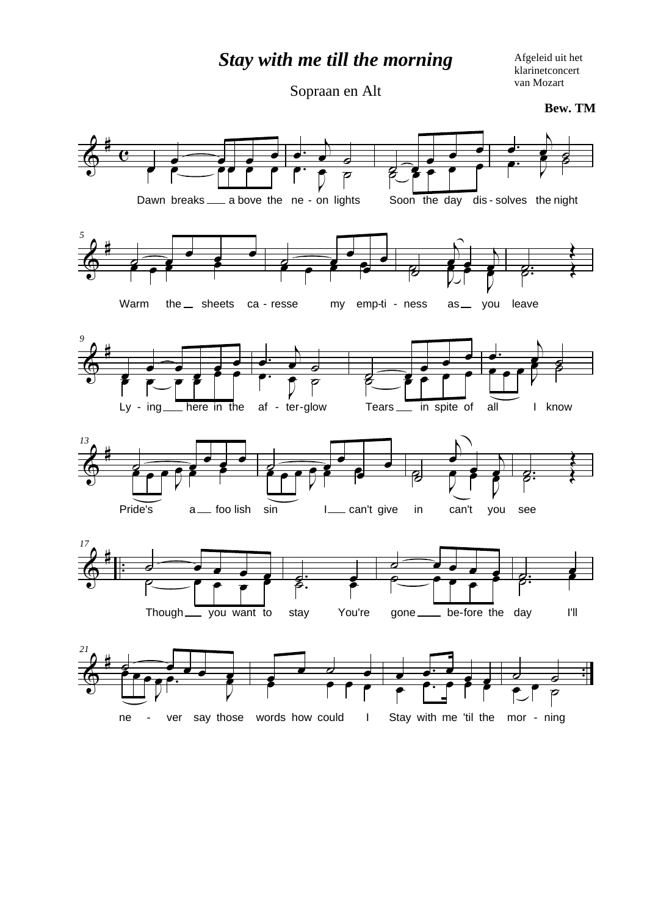*Stay with me till the morning*

Afgeleid uit het klarinetconcert van Mozart

Sopraan en Alt

**Bew. TM**